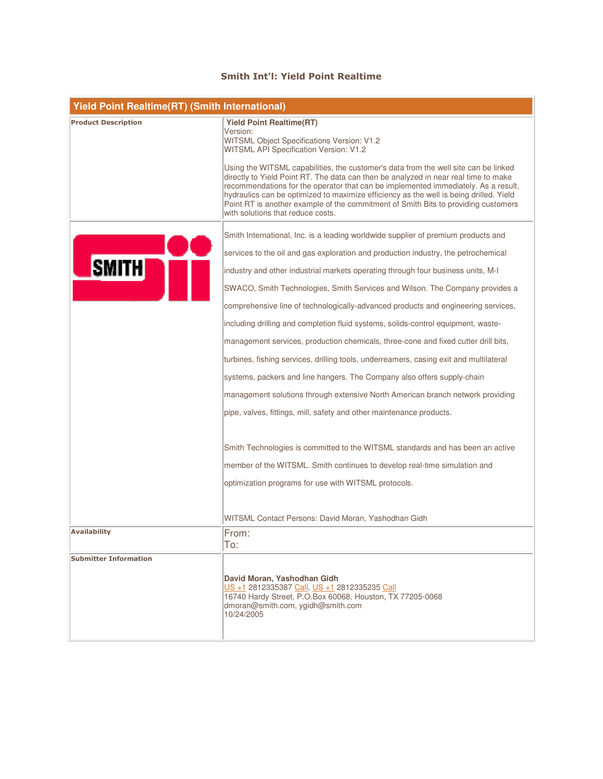## Smith Int'l: Yield Point Realtime

| <b>Yield Point Realtime(RT) (Smith International)</b> |                                                                                                                                                                                                                                                                                                                                                                                                                                                                                       |  |
|-------------------------------------------------------|---------------------------------------------------------------------------------------------------------------------------------------------------------------------------------------------------------------------------------------------------------------------------------------------------------------------------------------------------------------------------------------------------------------------------------------------------------------------------------------|--|
| <b>Product Description</b>                            | <b>Yield Point Realtime(RT)</b><br>Version:                                                                                                                                                                                                                                                                                                                                                                                                                                           |  |
|                                                       | WITSML Object Specifications Version: V1.2<br>WITSML API Specification Version: V1.2                                                                                                                                                                                                                                                                                                                                                                                                  |  |
|                                                       | Using the WITSML capabilities, the customer's data from the well site can be linked<br>directly to Yield Point RT. The data can then be analyzed in near real time to make<br>recommendations for the operator that can be implemented immediately. As a result,<br>hydraulics can be optimized to maximize efficiency as the well is being drilled. Yield<br>Point RT is another example of the commitment of Smith Bits to providing customers<br>with solutions that reduce costs. |  |
|                                                       | Smith International, Inc. is a leading worldwide supplier of premium products and                                                                                                                                                                                                                                                                                                                                                                                                     |  |
|                                                       | services to the oil and gas exploration and production industry, the petrochemical                                                                                                                                                                                                                                                                                                                                                                                                    |  |
| <b>SMITH</b>                                          | industry and other industrial markets operating through four business units, M-I                                                                                                                                                                                                                                                                                                                                                                                                      |  |
|                                                       | SWACO, Smith Technologies, Smith Services and Wilson. The Company provides a                                                                                                                                                                                                                                                                                                                                                                                                          |  |
|                                                       | comprehensive line of technologically-advanced products and engineering services,                                                                                                                                                                                                                                                                                                                                                                                                     |  |
|                                                       | including drilling and completion fluid systems, solids-control equipment, waste-                                                                                                                                                                                                                                                                                                                                                                                                     |  |
|                                                       | management services, production chemicals, three-cone and fixed cutter drill bits,                                                                                                                                                                                                                                                                                                                                                                                                    |  |
|                                                       | turbines, fishing services, drilling tools, underreamers, casing exit and multilateral                                                                                                                                                                                                                                                                                                                                                                                                |  |
|                                                       | systems, packers and line hangers. The Company also offers supply-chain                                                                                                                                                                                                                                                                                                                                                                                                               |  |
|                                                       | management solutions through extensive North American branch network providing                                                                                                                                                                                                                                                                                                                                                                                                        |  |
|                                                       | pipe, valves, fittings, mill, safety and other maintenance products.                                                                                                                                                                                                                                                                                                                                                                                                                  |  |
|                                                       | Smith Technologies is committed to the WITSML standards and has been an active                                                                                                                                                                                                                                                                                                                                                                                                        |  |
|                                                       | member of the WITSML. Smith continues to develop real-time simulation and                                                                                                                                                                                                                                                                                                                                                                                                             |  |
|                                                       | optimization programs for use with WITSML protocols.                                                                                                                                                                                                                                                                                                                                                                                                                                  |  |
|                                                       | WITSML Contact Persons: David Moran, Yashodhan Gidh                                                                                                                                                                                                                                                                                                                                                                                                                                   |  |
| <b>Availability</b>                                   | From:                                                                                                                                                                                                                                                                                                                                                                                                                                                                                 |  |
|                                                       | To:                                                                                                                                                                                                                                                                                                                                                                                                                                                                                   |  |
| <b>Submitter Information</b>                          | David Moran, Yashodhan Gidh<br>US +1 2812335387 Call, US +1 2812335235 Call<br>16740 Hardy Street, P.O.Box 60068, Houston, TX 77205-0068<br>dmoran@smith.com, ygidh@smith.com<br>10/24/2005                                                                                                                                                                                                                                                                                           |  |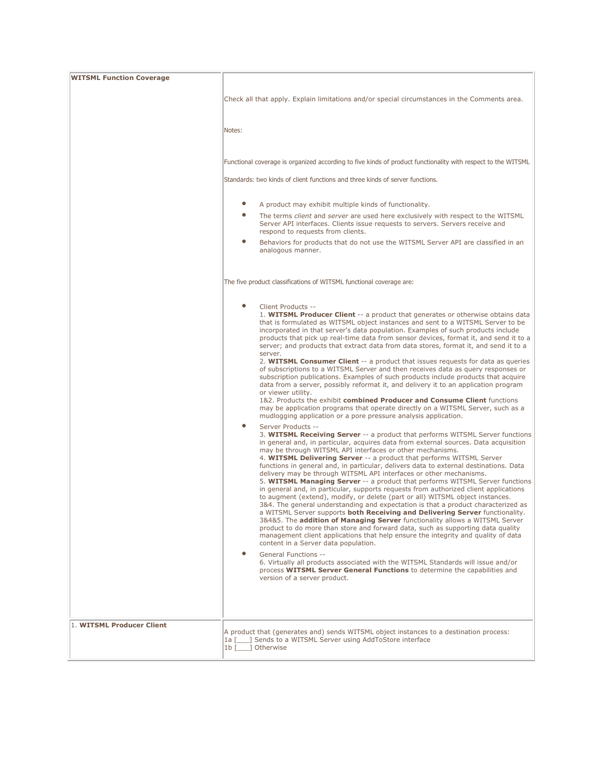| <b>WITSML Function Coverage</b> |                                                                                                                                                                                                                                                                                                                                                                                                                                                                                                                                                                                                                                                                                                                                                                                                                                                                                                                                                                                                                                                                                                                                                                                                                                                           |
|---------------------------------|-----------------------------------------------------------------------------------------------------------------------------------------------------------------------------------------------------------------------------------------------------------------------------------------------------------------------------------------------------------------------------------------------------------------------------------------------------------------------------------------------------------------------------------------------------------------------------------------------------------------------------------------------------------------------------------------------------------------------------------------------------------------------------------------------------------------------------------------------------------------------------------------------------------------------------------------------------------------------------------------------------------------------------------------------------------------------------------------------------------------------------------------------------------------------------------------------------------------------------------------------------------|
|                                 | Check all that apply. Explain limitations and/or special circumstances in the Comments area.                                                                                                                                                                                                                                                                                                                                                                                                                                                                                                                                                                                                                                                                                                                                                                                                                                                                                                                                                                                                                                                                                                                                                              |
|                                 | Notes:                                                                                                                                                                                                                                                                                                                                                                                                                                                                                                                                                                                                                                                                                                                                                                                                                                                                                                                                                                                                                                                                                                                                                                                                                                                    |
|                                 | Functional coverage is organized according to five kinds of product functionality with respect to the WITSML                                                                                                                                                                                                                                                                                                                                                                                                                                                                                                                                                                                                                                                                                                                                                                                                                                                                                                                                                                                                                                                                                                                                              |
|                                 | Standards: two kinds of client functions and three kinds of server functions.                                                                                                                                                                                                                                                                                                                                                                                                                                                                                                                                                                                                                                                                                                                                                                                                                                                                                                                                                                                                                                                                                                                                                                             |
|                                 | A product may exhibit multiple kinds of functionality.                                                                                                                                                                                                                                                                                                                                                                                                                                                                                                                                                                                                                                                                                                                                                                                                                                                                                                                                                                                                                                                                                                                                                                                                    |
|                                 | $\bullet$<br>The terms client and server are used here exclusively with respect to the WITSML<br>Server API interfaces. Clients issue requests to servers. Servers receive and<br>respond to requests from clients.                                                                                                                                                                                                                                                                                                                                                                                                                                                                                                                                                                                                                                                                                                                                                                                                                                                                                                                                                                                                                                       |
|                                 | Behaviors for products that do not use the WITSML Server API are classified in an<br>analogous manner.                                                                                                                                                                                                                                                                                                                                                                                                                                                                                                                                                                                                                                                                                                                                                                                                                                                                                                                                                                                                                                                                                                                                                    |
|                                 | The five product classifications of WITSML functional coverage are:                                                                                                                                                                                                                                                                                                                                                                                                                                                                                                                                                                                                                                                                                                                                                                                                                                                                                                                                                                                                                                                                                                                                                                                       |
|                                 | Client Products --<br>1. WITSML Producer Client -- a product that generates or otherwise obtains data<br>that is formulated as WITSML object instances and sent to a WITSML Server to be<br>incorporated in that server's data population. Examples of such products include<br>products that pick up real-time data from sensor devices, format it, and send it to a<br>server; and products that extract data from data stores, format it, and send it to a<br>server.<br>2. WITSML Consumer Client -- a product that issues requests for data as queries<br>of subscriptions to a WITSML Server and then receives data as query responses or<br>subscription publications. Examples of such products include products that acquire<br>data from a server, possibly reformat it, and delivery it to an application program<br>or viewer utility.                                                                                                                                                                                                                                                                                                                                                                                                        |
|                                 | 1&2. Products the exhibit combined Producer and Consume Client functions<br>may be application programs that operate directly on a WITSML Server, such as a<br>mudlogging application or a pore pressure analysis application.                                                                                                                                                                                                                                                                                                                                                                                                                                                                                                                                                                                                                                                                                                                                                                                                                                                                                                                                                                                                                            |
|                                 | ٠<br>Server Products --<br>3. WITSML Receiving Server -- a product that performs WITSML Server functions<br>in general and, in particular, acquires data from external sources. Data acquisition<br>may be through WITSML API interfaces or other mechanisms.<br>4. WITSML Delivering Server -- a product that performs WITSML Server<br>functions in general and, in particular, delivers data to external destinations. Data<br>delivery may be through WITSML API interfaces or other mechanisms.<br>5. WITSML Managing Server -- a product that performs WITSML Server functions<br>in general and, in particular, supports requests from authorized client applications<br>to augment (extend), modify, or delete (part or all) WITSML object instances.<br>3&4. The general understanding and expectation is that a product characterized as<br>a WITSML Server supports both Receiving and Delivering Server functionality.<br>3&4&5. The addition of Managing Server functionality allows a WITSML Server<br>product to do more than store and forward data, such as supporting data quality<br>management client applications that help ensure the integrity and quality of data<br>content in a Server data population.<br>General Functions -- |
|                                 | 6. Virtually all products associated with the WITSML Standards will issue and/or<br>process WITSML Server General Functions to determine the capabilities and<br>version of a server product.                                                                                                                                                                                                                                                                                                                                                                                                                                                                                                                                                                                                                                                                                                                                                                                                                                                                                                                                                                                                                                                             |
| 1. WITSML Producer Client       | A product that (generates and) sends WITSML object instances to a destination process:<br>1a [100] Sends to a WITSML Server using AddToStore interface<br>1b [ ] Otherwise                                                                                                                                                                                                                                                                                                                                                                                                                                                                                                                                                                                                                                                                                                                                                                                                                                                                                                                                                                                                                                                                                |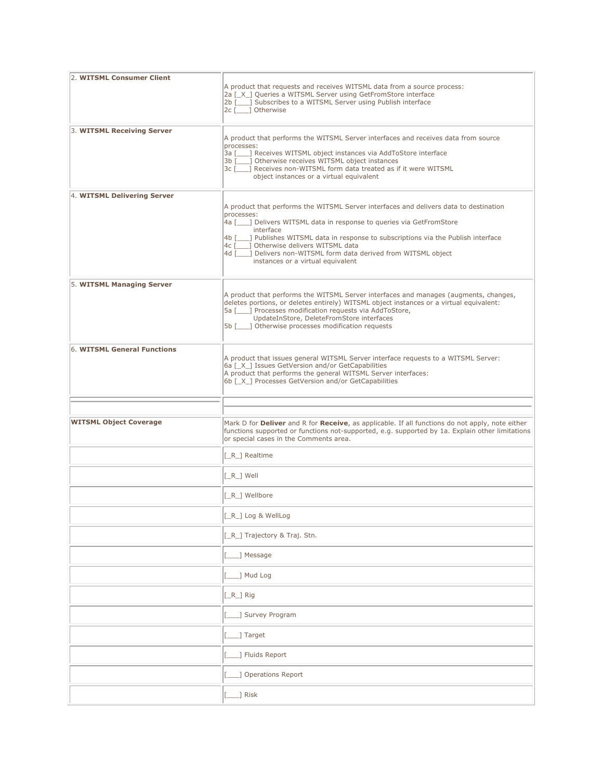| 2. WITSML Consumer Client     | A product that requests and receives WITSML data from a source process:<br>2a [ X ] Queries a WITSML Server using GetFromStore interface<br>2b [10, 30] Subscribes to a WITSML Server using Publish interface<br>2c [ ] Otherwise                                                                                                                                                                                                       |
|-------------------------------|-----------------------------------------------------------------------------------------------------------------------------------------------------------------------------------------------------------------------------------------------------------------------------------------------------------------------------------------------------------------------------------------------------------------------------------------|
| 3. WITSML Receiving Server    | A product that performs the WITSML Server interfaces and receives data from source<br>processes:<br>3a [166] Receives WITSML object instances via AddToStore interface<br>3b [100] Otherwise receives WITSML object instances<br>3c [ ] Receives non-WITSML form data treated as if it were WITSML<br>object instances or a virtual equivalent                                                                                          |
| 4. WITSML Delivering Server   | A product that performs the WITSML Server interfaces and delivers data to destination<br>processes:<br>4a [100] Delivers WITSML data in response to queries via GetFromStore<br>interface<br>4b [___] Publishes WITSML data in response to subscriptions via the Publish interface<br>4c [___] Otherwise delivers WITSML data<br>4d [100] Delivers non-WITSML form data derived from WITSML object<br>instances or a virtual equivalent |
| 5. WITSML Managing Server     | A product that performs the WITSML Server interfaces and manages (augments, changes,<br>deletes portions, or deletes entirely) WITSML object instances or a virtual equivalent:<br>5a [___] Processes modification requests via AddToStore,<br>UpdateInStore, DeleteFromStore interfaces<br>5b [       Otherwise processes modification requests                                                                                        |
| 6. WITSML General Functions   | A product that issues general WITSML Server interface requests to a WITSML Server:<br>6a [_X_] Issues GetVersion and/or GetCapabilities<br>A product that performs the general WITSML Server interfaces:<br>6b [X ] Processes GetVersion and/or GetCapabilities                                                                                                                                                                         |
|                               |                                                                                                                                                                                                                                                                                                                                                                                                                                         |
| <b>WITSML Object Coverage</b> | Mark D for <b>Deliver</b> and R for Receive, as applicable. If all functions do not apply, note either<br>functions supported or functions not-supported, e.g. supported by 1a. Explain other limitations<br>or special cases in the Comments area.                                                                                                                                                                                     |
|                               | [_R_] Realtime                                                                                                                                                                                                                                                                                                                                                                                                                          |
|                               | $[-R_$ Well                                                                                                                                                                                                                                                                                                                                                                                                                             |
|                               | [_R_] Wellbore                                                                                                                                                                                                                                                                                                                                                                                                                          |
|                               | $[-R_$ Log & WellLog                                                                                                                                                                                                                                                                                                                                                                                                                    |
|                               | [_R_] Trajectory & Traj. Stn.                                                                                                                                                                                                                                                                                                                                                                                                           |
|                               | 1 Message                                                                                                                                                                                                                                                                                                                                                                                                                               |
|                               | 1 Mud Log                                                                                                                                                                                                                                                                                                                                                                                                                               |
|                               | [_R_] Rig                                                                                                                                                                                                                                                                                                                                                                                                                               |
|                               | _] Survey Program                                                                                                                                                                                                                                                                                                                                                                                                                       |
|                               | 1 Target                                                                                                                                                                                                                                                                                                                                                                                                                                |
|                               | ] Fluids Report                                                                                                                                                                                                                                                                                                                                                                                                                         |
|                               | ] Operations Report                                                                                                                                                                                                                                                                                                                                                                                                                     |
|                               | _] Risk                                                                                                                                                                                                                                                                                                                                                                                                                                 |